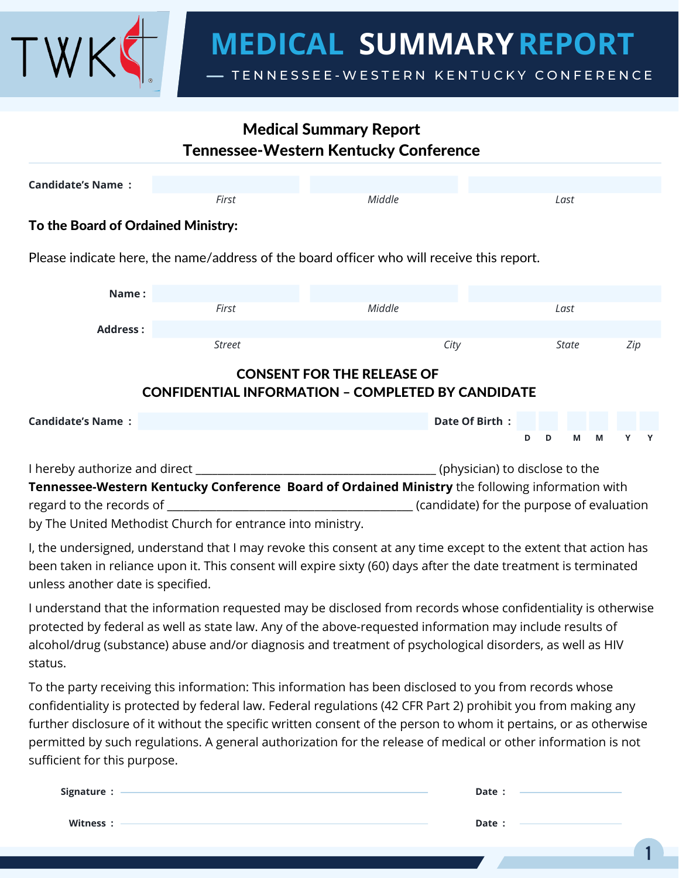

# Medical Summary Report Tennessee-Western Kentucky Conference

| <b>Candidate's Name:</b>                                                                      |                                                                                           |        |                |              |   |     |   |  |
|-----------------------------------------------------------------------------------------------|-------------------------------------------------------------------------------------------|--------|----------------|--------------|---|-----|---|--|
|                                                                                               | First                                                                                     | Middle |                | Last         |   |     |   |  |
| To the Board of Ordained Ministry:                                                            |                                                                                           |        |                |              |   |     |   |  |
|                                                                                               | Please indicate here, the name/address of the board officer who will receive this report. |        |                |              |   |     |   |  |
| Name:                                                                                         |                                                                                           |        |                |              |   |     |   |  |
|                                                                                               | First                                                                                     | Middle |                | Last         |   |     |   |  |
| <b>Address:</b>                                                                               |                                                                                           |        |                |              |   |     |   |  |
|                                                                                               | <b>Street</b>                                                                             | City   |                | <b>State</b> |   | Zip |   |  |
| <b>CONSENT FOR THE RELEASE OF</b><br><b>CONFIDENTIAL INFORMATION - COMPLETED BY CANDIDATE</b> |                                                                                           |        |                |              |   |     |   |  |
| <b>Candidate's Name:</b>                                                                      |                                                                                           |        | Date Of Birth: |              |   |     |   |  |
|                                                                                               |                                                                                           |        | D              | M<br>D       | M | Y   | Y |  |
|                                                                                               |                                                                                           |        |                |              |   |     |   |  |

I hereby authorize and direct \_\_\_\_\_\_\_\_\_\_\_\_\_\_\_\_\_\_\_\_\_\_\_\_\_\_\_\_\_\_\_\_\_\_\_\_\_\_\_\_\_\_\_\_ (physician) to disclose to the **Tennessee-Western Kentucky Conference Board of Ordained Ministry** the following information with regard to the records of the records of the records of the records of evaluation (candidate) for the purpose of evaluation

by The United Methodist Church for entrance into ministry.

I, the undersigned, understand that I may revoke this consent at any time except to the extent that action has been taken in reliance upon it. This consent will expire sixty (60) days after the date treatment is terminated unless another date is specified.

I understand that the information requested may be disclosed from records whose confidentiality is otherwise protected by federal as well as state law. Any of the above-requested information may include results of alcohol/drug (substance) abuse and/or diagnosis and treatment of psychological disorders, as well as HIV status.

To the party receiving this information: This information has been disclosed to you from records whose confidentiality is protected by federal law. Federal regulations (42 CFR Part 2) prohibit you from making any further disclosure of it without the specific written consent of the person to whom it pertains, or as otherwise permitted by such regulations. A general authorization for the release of medical or other information is not sufficient for this purpose.

| Signature : | Date : |  |
|-------------|--------|--|
| Witness:    | Date : |  |
|             |        |  |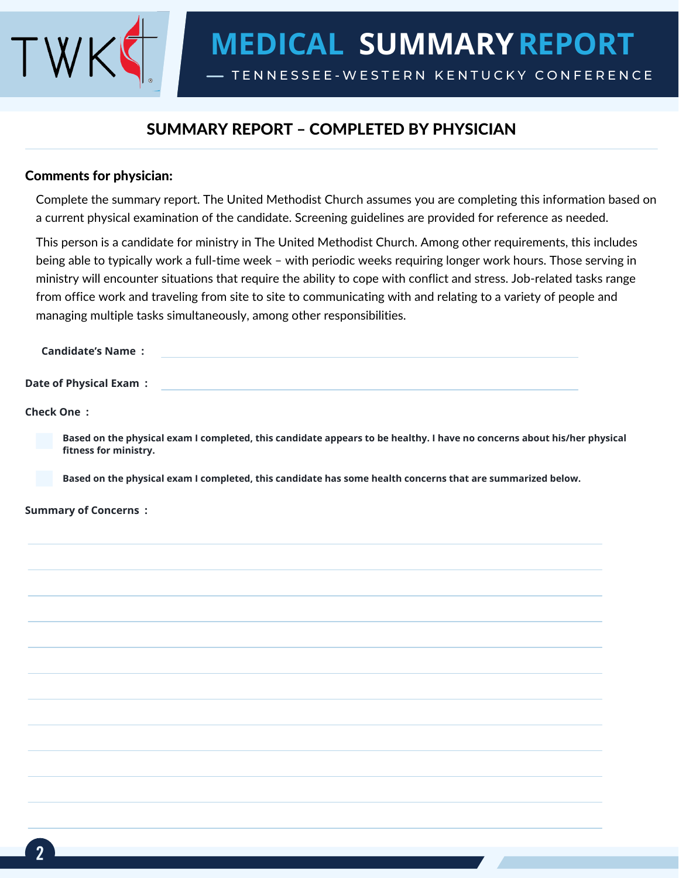

# SUMMARY REPORT – COMPLETED BY PHYSICIAN

#### Comments for physician:

Complete the summary report. The United Methodist Church assumes you are completing this information based on a current physical examination of the candidate. Screening guidelines are provided for reference as needed.

This person is a candidate for ministry in The United Methodist Church. Among other requirements, this includes being able to typically work a full-time week – with periodic weeks requiring longer work hours. Those serving in ministry will encounter situations that require the ability to cope with conflict and stress. Job-related tasks range from office work and traveling from site to site to communicating with and relating to a variety of people and managing multiple tasks simultaneously, among other responsibilities.

| Candidate's Name :      |  |
|-------------------------|--|
|                         |  |
| Date of Physical Exam : |  |

**Check One :**

**Based on the physical exam I completed, this candidate appears to be healthy. I have no concerns about his/her physical fitness for ministry.**

**Based on the physical exam I completed, this candidate has some health concerns that are summarized below.**

#### **Summary of Concerns :**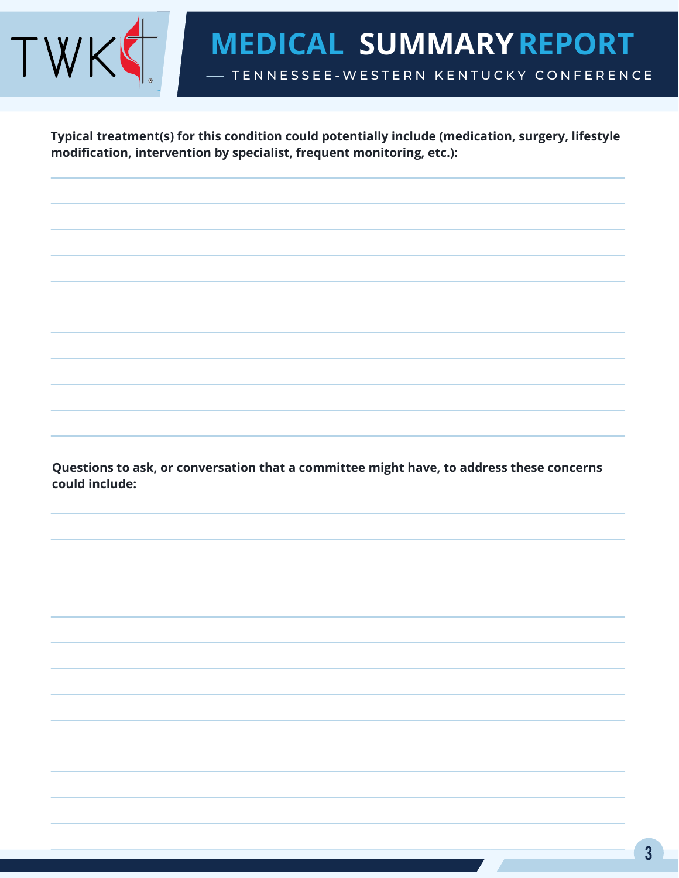

**Typical treatment(s) for this condition could potentially include (medication, surgery, lifestyle modification, intervention by specialist, frequent monitoring, etc.):**

**Questions to ask, or conversation that a committee might have, to address these concerns could include:**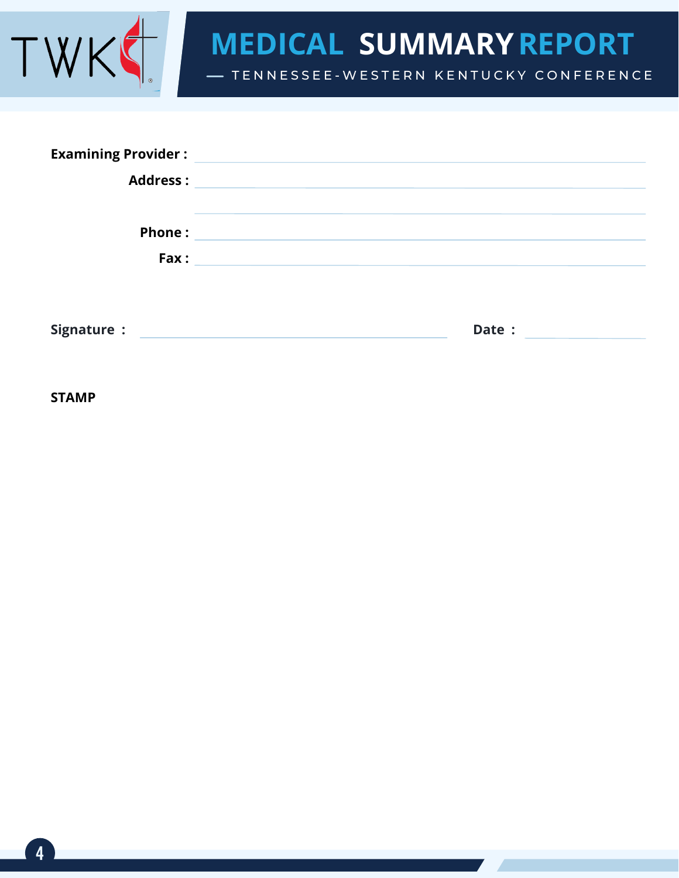

TENNESSEE-WESTERN KENTUCKY CONFERENCE

| <b>Examining Provider:</b> |                                                                                                                       |
|----------------------------|-----------------------------------------------------------------------------------------------------------------------|
| <b>Address:</b>            | <u> 1989 - Andrea State Barbara, amerikan personal di personal dengan personal dengan personal dengan personal de</u> |
| <b>Phone:</b>              | <u> 1989 - Johann Stein, marwolaethau a bhann an t-Amhair an t-Amhair an t-Amhair an t-Amhair an t-Amhair an t-A</u>  |
|                            |                                                                                                                       |
|                            |                                                                                                                       |
| Signature :                | Date :<br>the control of the control of the control of the control of the control of the control of                   |

**STAMP**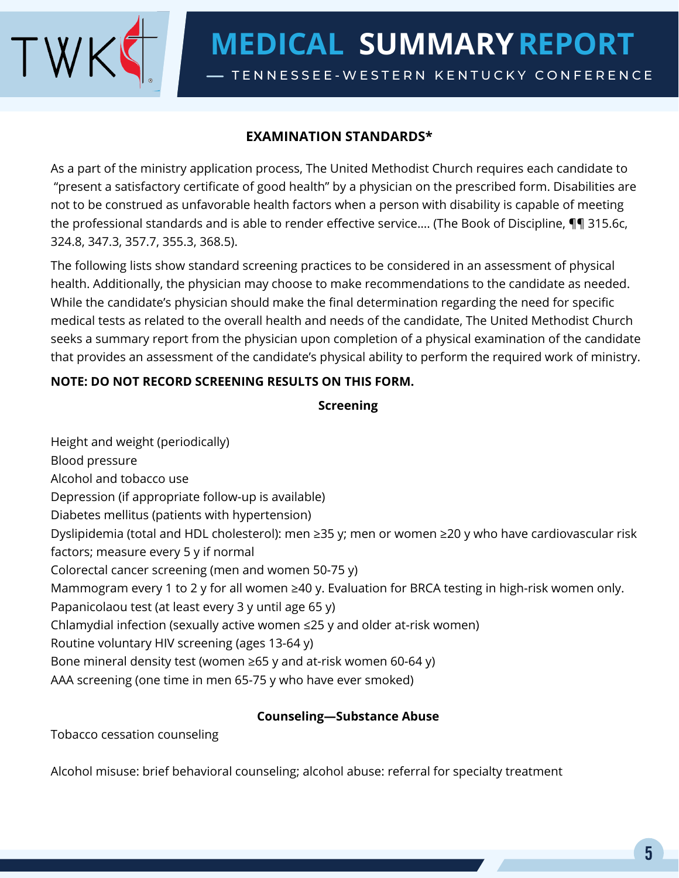

# **EXAMINATION STANDARDS\***

As a part of the ministry application process, The United Methodist Church requires each candidate to "present a satisfactory certificate of good health" by a physician on the prescribed form. Disabilities are not to be construed as unfavorable health factors when a person with disability is capable of meeting the professional standards and is able to render effective service…. (The Book of Discipline, ¶¶ 315.6c, 324.8, 347.3, 357.7, 355.3, 368.5).

The following lists show standard screening practices to be considered in an assessment of physical health. Additionally, the physician may choose to make recommendations to the candidate as needed. While the candidate's physician should make the final determination regarding the need for specific medical tests as related to the overall health and needs of the candidate, The United Methodist Church seeks a summary report from the physician upon completion of a physical examination of the candidate that provides an assessment of the candidate's physical ability to perform the required work of ministry.

## **NOTE: DO NOT RECORD SCREENING RESULTS ON THIS FORM.**

#### **Screening**

Height and weight (periodically) Blood pressure Alcohol and tobacco use Depression (if appropriate follow‐up is available) Diabetes mellitus (patients with hypertension) Dyslipidemia (total and HDL cholesterol): men ≥35 y; men or women ≥20 y who have cardiovascular risk factors; measure every 5 y if normal Colorectal cancer screening (men and women 50‐75 y) Mammogram every 1 to 2 y for all women ≥40 y. Evaluation for BRCA testing in high-risk women only. Papanicolaou test (at least every 3 y until age 65 y) Chlamydial infection (sexually active women ≤25 y and older at‐risk women) Routine voluntary HIV screening (ages 13‐64 y) Bone mineral density test (women  $\geq 65$  y and at-risk women 60-64 y) AAA screening (one time in men 65‐75 y who have ever smoked)

### **Counseling—Substance Abuse**

Tobacco cessation counseling

Alcohol misuse: brief behavioral counseling; alcohol abuse: referral for specialty treatment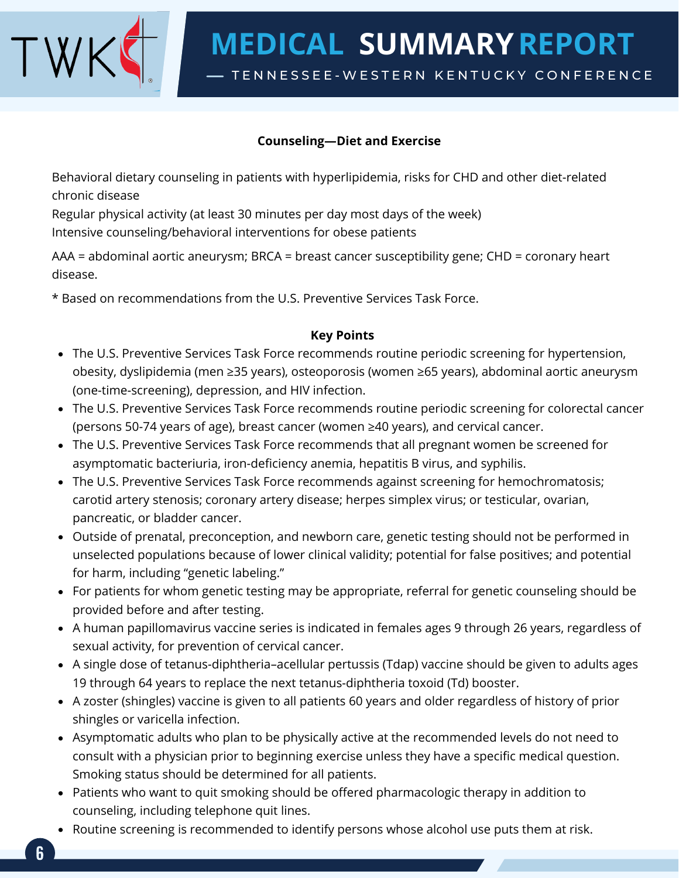

### **Counseling—Diet and Exercise**

Behavioral dietary counseling in patients with hyperlipidemia, risks for CHD and other diet‐related chronic disease

Regular physical activity (at least 30 minutes per day most days of the week) Intensive counseling/behavioral interventions for obese patients

AAA = abdominal aortic aneurysm; BRCA = breast cancer susceptibility gene; CHD = coronary heart disease.

\* Based on recommendations from the U.S. Preventive Services Task Force.

#### **Key Points**

- The U.S. Preventive Services Task Force recommends routine periodic screening for hypertension, obesity, dyslipidemia (men ≥35 years), osteoporosis (women ≥65 years), abdominal aortic aneurysm (one‐time‐screening), depression, and HIV infection.
- The U.S. Preventive Services Task Force recommends routine periodic screening for colorectal cancer (persons 50‐74 years of age), breast cancer (women ≥40 years), and cervical cancer.
- The U.S. Preventive Services Task Force recommends that all pregnant women be screened for asymptomatic bacteriuria, iron‐deficiency anemia, hepatitis B virus, and syphilis.
- The U.S. Preventive Services Task Force recommends against screening for hemochromatosis; carotid artery stenosis; coronary artery disease; herpes simplex virus; or testicular, ovarian, pancreatic, or bladder cancer.
- Outside of prenatal, preconception, and newborn care, genetic testing should not be performed in unselected populations because of lower clinical validity; potential for false positives; and potential for harm, including "genetic labeling."
- For patients for whom genetic testing may be appropriate, referral for genetic counseling should be provided before and after testing.
- A human papillomavirus vaccine series is indicated in females ages 9 through 26 years, regardless of sexual activity, for prevention of cervical cancer.
- A single dose of tetanus‐diphtheria–acellular pertussis (Tdap) vaccine should be given to adults ages 19 through 64 years to replace the next tetanus‐diphtheria toxoid (Td) booster.
- A zoster (shingles) vaccine is given to all patients 60 years and older regardless of history of prior shingles or varicella infection.
- Asymptomatic adults who plan to be physically active at the recommended levels do not need to consult with a physician prior to beginning exercise unless they have a specific medical question. Smoking status should be determined for all patients.
- Patients who want to quit smoking should be offered pharmacologic therapy in addition to counseling, including telephone quit lines.
- Routine screening is recommended to identify persons whose alcohol use puts them at risk.